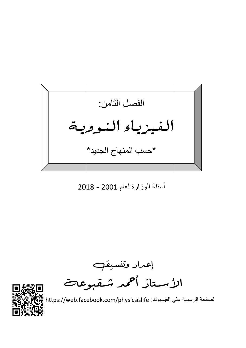الفصل الثامن: الفيزياء النووية \*حسب المنهاج الجديد\*

## أسئلة الوزارة لعام 2001 - 2018

إعداد وتنسيق<sub>ه</sub><br>الأستاذ أحمد شقبوعات



الصفحة الرسمية على الفيسبوك: https://web.facebook.com/physicsislife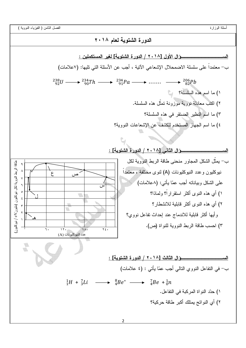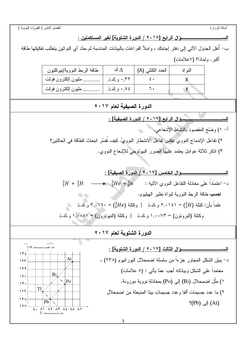الفصل الثامن ( الفيزياء النووية )

الســـــــــــــــــــــــــــوْال الرابع [٢٠١٨ / الدورة الشتوية] لغير المستكملين : ب– أنقل الجدول الآتي إلى دفتر إجابتك ، وإملأ الفر اغات بالبيانات المناسبة ثم حدّد أي النواتين يتطلب تفكيكها طاقة أكبر . ولماذا؟ (٧علامات) 990 ( / (A (ك ∆ / 
 النو اة X ٤٠ ,٣٢ .ذ.ك.و ٠ ............ #
ن إ()'ون %
\$ Y ٦٠ ,٥٤ .ذ.ك.و ٠ ............ #
ن إ()'ون %
\$  $\overline{a}$ الدورة الصيفية لعام ٢٠١٧ l : [%&  / ١٧ ] #\$ - أ– ١) وضّح المقصود بالنشاط الإشعاعي. ٢) تفاعل الإندماج النووي عكس تفاعل الانشطار النووي. كيف تُفسّر انبعاث الطاقة في الحالتين؟ ٣) اذكر ثلاثة عوامل يعتمد عليها الضرر البيولوجي للإشعاع النووي. : [%&  / ١٧] '( -  $^2 H$  +  $^2 H$   $\longrightarrow$   $^3 He$  +  $^1_0 n$  : لاتية :  $^3 He$  +  $^3He$  +  $^3He$  +  $^3He$  +  $^3He$  +  $^3He$  +  $^3He$  +  $^3He$  +  $^3He$  +  $^3He$  +  $^3He$  +  $^3He$  +  $^3He$  +  $^3He$  +  $^3He$  +  $^3He$  +  $^3He$  +  $^3He$  +  $^3He$  +  $^3He$  +  $^3He$  +  $^3He$  + ا**حسب** طاقة الربط النووية لنواة نظير الهيليوم. **IP OF** علماً بأن: كنلة (4H) = ٢,٠١٤١ و ك .ذ | وكنلة (7H) = ٣,٠١٦، = و ك.ذ  $\Delta$ وكتلة (البروتون) = ١,٠٠٧٣ و ك .ذ | وكتلة (النبوترون) = ١,٠٠٨٧ و ك.ذ الدورة الشتوية لعام ٢٠١٧  $\overline{a}$  $\triangle$ عدد النيوتر.ونـــــــــــات 1 <del>1</del> M : [  / ١٧ ] - ١٣٤ At د– يبيّن الشكل المجاور جزءا من سلسلة اضمحلال اليور انيوم (٢٣٨) ، ١٣٣ ١٣٢ معتمداً على الشكل وبياناته أجب عمّا يأتي : (٥ علامات) Bi ١٣١ ١) مثَّل اضمحلال (Bi) إلى (Po) بمعادلة نووية موزونة. Po ١٣٠ Tl ١٢٩ ٢) ما عدد جسيمات ألفا وعدد جسيمات بينا المنبعثة من اضمحلال ١٢٨ Pb  $(Pb)$  إِلَى (At) ١٢٧  $\overline{A}$   $\overline{A}$   $\overline{A}$   $\overline{A}$   $\overline{A}$   $\overline{A}$   $\overline{A}$   $\overline{A}$   $\overline{A}$   $\overline{A}$   $\overline{A}$   $\overline{A}$   $\overline{A}$   $\overline{A}$   $\overline{A}$   $\overline{A}$   $\overline{A}$   $\overline{A}$   $\overline{A}$   $\overline{A}$   $\overline{A}$   $\overline{A}$   $\overline{A}$   $\overline{A}$   $\overline{$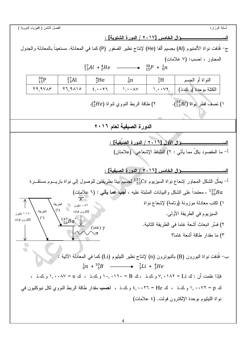الفصل الثامن ( الفيزياء النووية ) أسئلة الوزارة <u>ــؤال الخامس [٢٠١٧ / الدور ة الشتوية] :</u> الس ج– قُذفت نواة الألمنيوم (Al) بجسيم ألفا (He) لإنتاج نظير الفسفور (P) كما في المعادلة. مستعيناً بالمعادلة والجدول المجاور ، احسب: (٧ علامات)  $\longrightarrow \frac{30p}{15} + \frac{1}{0}n$  $^{27}_{13}Al + ^{4}_{2}He$  $^{27}_{13}Al$  $^{30}_{15}P$  ${}^{4}_{2}He$  $\frac{1}{0}n$  ${}^{1}_{1}H$ النواة أو الجسم  $Y9.9VAY$  $Y1.9A10$  $1.4.4V$  $2.007$  $1.4.44$ الكتلة بوحدة (و .ك.ذ) ) نصف قطر نواة (27Al). ٢) طاقة الربط النووي لنواة (Heف). الدورة الصيفية لعام ٢٠١٦ وَالَ الأَوْلِ [٢٠١٦ / الدورة الصيفية] : المعد أ– ما المقصود بكلِّ مما يأتي : ٢) النشاط الإشعاعي. (علامتان) ــــوَال الخامس [٦٠١٦ / الدورة الصبغية] : السد أ– يمثِّل الشكل المجاور اشعاع نواة السيزيوم 137Cs لجسيم بيتا بطريقتين للوصول إلى نواة باريـــوم مستقـــرة <sup>137</sup>Ba ، معتمداً على الشكل والبيانات المثبتة عليه ، أجب عما يأتى : (٦ علامات) ١) اكتب معادلة موزونة (وتامة) لإشعاع نواة الطريقة مليو ن  $(7)$ الكترون فولت الطر يقة السيزيوم في الطريقة الأولى. ۱٬۱۸ ملبون  $(1)$ إلكترون فولت  $^{137}_{56}Ba^*$ ٢) فسِّر انبعاث أشعة غاما في الطر بقة الثانية. γ (غاما) ٣) ما مقدار طاقة أشعة غاما؟  $\begin{picture}(20,20) \put(0,0){\line(0,1){0.5}} \put(15,0){\line(0,1){0.5}} \put(15,0){\line(0,1){0.5}} \put(15,0){\line(0,1){0.5}} \put(15,0){\line(0,1){0.5}} \put(15,0){\line(0,1){0.5}} \put(15,0){\line(0,1){0.5}} \put(15,0){\line(0,1){0.5}} \put(15,0){\line(0,1){0.5}} \put(15,0){\line(0,1){0.5}} \put(15,0){\line(0,1){0.5}} \$ ب– قُذفت نواة البورون (B) بالنيونرون (n) لإنتاج نظير الليثيوم (Li) كما في المعادلة الآتية : [  $\frac{1}{0}n + \frac{10}{5}B$   $\longrightarrow$   $\frac{7}{3}Li + \frac{4}{2}He$ فإذا علمت أن : ك V, • ١٨٢ = Li ، في الله علمت أن : ك (V, • ١٨٢ = 1, و.ك.ذ ، ك n = 1, • • ٨٧ و.ك.ذ ك p = ١, ٠٠٧٢ و ك.ذ ، ك He = ٢٦ . . ٤ و ك.ذ ، احسب مقدار طاقة الربط النووي لكل نيوكليون في نواة الليثيوم بوحدة الإلكترون فولت. (٤ علامات)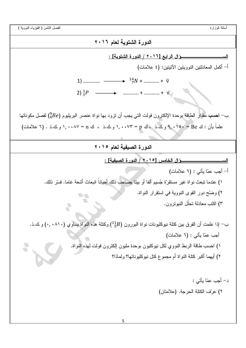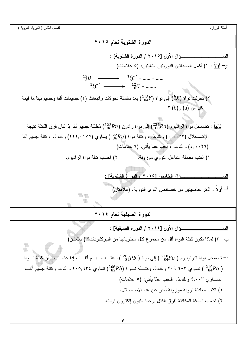الفصل الثامن ( الفيزياء النووية )

 $6\overline{6}$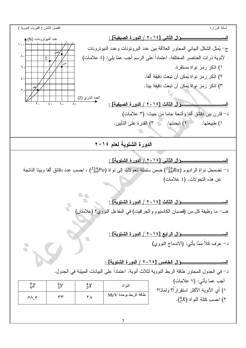الفصل الثامن ( الفيزياء النووية ) أسئلة الوزار : [%&  / ١٤] - عدد النيوترونات (N) 4 ١٠٠ ج– يُمثل الشكل البياني المجاور العلاقة بين عدد البروتونات وعدد النيوترونات ص ٨٠ لأنوية ذرات العناصر المختلفة. اعتماداً على الرسم أجب عمّا يلي: (٤ علامات) ع س]⁄ ۱) اذکر رمز نواة مستقرة. ٦٠ ٢) اذكر رمز نواة يُمكن أن تبعث دقيقة ألفا. ٤٠ ٣) اذكر رمز نواة يُمكن أن تبعث دقيقة بيتا. هـ ٢٠ العدد الذري (Z) : [%&  / ١٤] - ٢٠ ٤٠ ٦٠ ٨٠ د– قارن بين دقائق ألفا وأشعة جاما من حيث: (٣ علامات) ١) طبيعتها. ٢) شحنتها. ٣) القدر ة على التأيين. الدورة الشتوية لعام ٢٠١٤ j الســـــــــــــــــــــــــــوَ ال الثاني [٢٠١٤ / الدورة الشتوية] : د– نضمحل نواة الراديوم ( $^2a_{88}Ra$ ) ضمن سلسلة نحولات إلى نواة ( $^2a_{4}^4Po$ ) ، احسب عدد دقائق ألفا وبينا الناتجة عن هذه التحو لات. (٤ علامات) **TA** الســـــــــــــــــــــــــــوَال الثالث [٢٠١٤ / الدورة الشتوية] : هـــــ ما وظيفة كل من (قضبان الكادميوم والجر افيت) في المفاعل النووي؟ (علامتان) الســـــــــــــــــــــــــوَال الرابع [٢٠١٤ / الدورة الشتوية] : U د– عربّف كلاً ممّا يأتي: (الاندماج النووي)  $\begin{picture}(20,20) \put(0,0){\line(0,1){0.5}} \put(15,0){\line(0,1){0.5}} \put(15,0){\line(0,1){0.5}} \put(15,0){\line(0,1){0.5}} \put(15,0){\line(0,1){0.5}} \put(15,0){\line(0,1){0.5}} \put(15,0){\line(0,1){0.5}} \put(15,0){\line(0,1){0.5}} \put(15,0){\line(0,1){0.5}} \put(15,0){\line(0,1){0.5}} \put(15,0){\line(0,1){0.5}} \$  : [  / ١٤] '( - د– في الجدول المجاور طاقة الربط النووية لثلاث أنوية. اعتماداً على البيانات المبيّنة في الجدول. أجب عما يأتي: (٧ علامات)  ${}^{9}_{4}Z$   ${}^{6}_{3}$  $\frac{6}{3}Y$  $Y$  النواة  $\begin{array}{cc} 4X \ 2X \end{array}$  $\frac{4}{2}X$ ١) أي الأنوية الأكثر استقراراً؟ ولماذا؟ طاقة الربط بوحدة MeV ٥٨ ٥, ٣٣ ٢٨ ا احسب كتلة النواة  $\left( \frac{4}{2}X\right)$ .  $\qquad$ 

7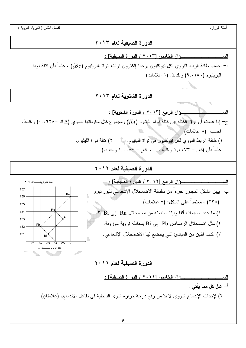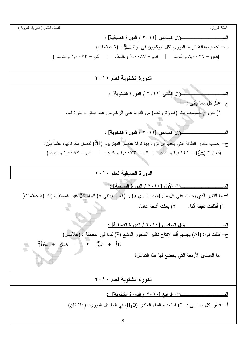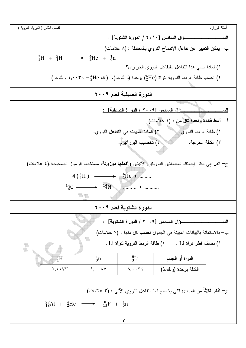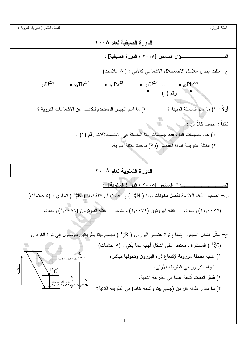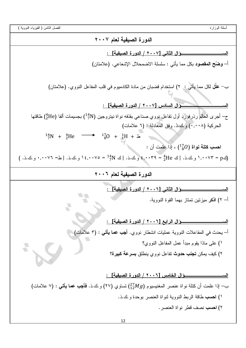الفصل الثامن ( الفيزياء النووية )

أسئلة الوزارة

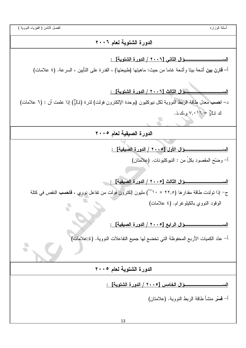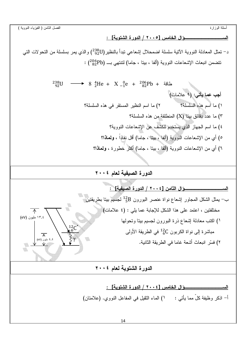الســـــــــ

الفصل الثامن ( الفيزياء النووية )

\_\_\_\_ئ ال الخامس [٢٠٠٥ / الدورة الشتوية] :

د– نمثل المعادلة النووية الآتية سلسلة اضمحلال إشعاعي تبدأ بالنظير(238U) والذي يمر بسلسلة من النحولات التبي  $(286Pb)$  تتضمن انبعاث الإشعاعات النووية (ألفا ، بيتا ، جاما) لتتنهى بـــ (206pb)

> $^{238}_{92}U$  → 8  $^{4}_{2}He + X^{0}_{-1}e + ^{206}_{82}Pb + ^{238}_{82}Pb$ + طَاقَة أجب عما يأتي: (٩ علامات) ١) ما اسم هذه السلسلة؟ ٢) ما اسم النظير المستقر في هذه السلسلة؟ ٣) ما عدد دقائق بيتا (X) المنطلقة من هذه السلسلة؟ ٤) ما اسم الجهار الذي يستخدم للكشف عن الإشعاعات النووية؟ ٥) أي من الإشعاعات النووية (ألفا ، بيتا ، جاما) أقل نفاذاً ، ولمعاذا؟ ٦) أي من الإشعاعات النووية (ألفًا ، بيتًا ، جاماً) أكثر خطورة ، ولمعاذًا؟

> > الدورة الصيفية لعام ٢٠٠٤

ـــــــوَال الثّامن [٢٠٠٤ / الدور ة الصيفية] : الم ب– يمثل الشكل المجاور إشعاع نواة عنصر البورون <sup>12</sup>5 لجسيم بيتا بطريقتين مختلفتين ، اعتمد على هذا الشكل للإجابة عما يلي : (٤ علامات)  $\overline{\wedge}$ (eV) مليون (eV) ١) اكتب معادلة إشعاع ذرة البورون لجسيم ببنا ونحولها مباشرة إلى نواة الكربون <sup>12</sup>6 في الطريقة الأولى  $\overline{\wedge}$ ٤,٤ مليون (eV) ٢) فسَّر انبعاث أشعة غاما في الطريقة الثانية.

الدورة الشتوية لعام ٢٠٠٤

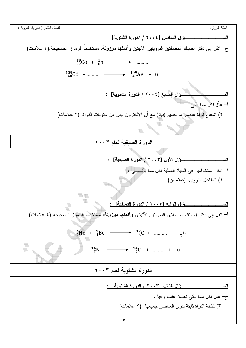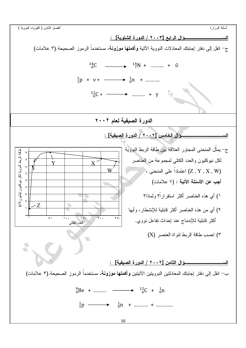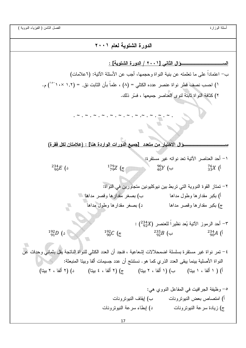الدورة الشتوية لعام ٢٠٠١ \_\_\_\_ئ الثاني [٢٠٠١ / الدورة الشتوية] : ب– اعتماداً على ما تعلمته عن بنية النو اة وحجمها، أجب عن الأسئلة الآتية: (٦علامات) ا) احسب نصف قطر نواة عنصر عدده الكتلي = (٨) ، علماً بأن الثابت نق. = (١.٢ ×١٠<sup>-٥٠</sup>) م. ٢) كثافة النواة ثابتة لنوى العناصر جميعها ، فسَّر ذلك. ٣ الاختيار من متعدد [جميع الدورات الواردة هنا] : (علامتان لكل فقرة) ١– أحد العناصر الآتية تعد نواته غير مستقرة: ١  $^{234}_{90}E$  (د  $\frac{179Z}{79Z}$  (c  $^{90}_{40}Y$  (ب  $^{76}_{33}X$  (1 ٢– تمتاز القوة النووية التي تربط بين نيوكليونين متجاورين في النواة: ب) بصغر مقدارها وقصر مداها أ) بكبر مقدارها وطول مداها د) بصغر مقدارها وطول مداها ج) بكبر مقدارها وقصر مداها - أحد الرموز الآتية يُعد نظيراً للعنصر (2348) .  $^{192}_{90}C$  (ج  $^{192}_{91}D$  (  $^{235}_{\alpha 2}B$  (ب  $^{234}_{90}A($ ٤– نمر نواة غير مستقرة بسلسلة اضمحلالات إشعاعية ، فنجد أن العدد الكتلي للنواة الناتجة يقل بثماني وحدات عن النواة الأصلية بينما يبقى العدد الذري كما هو . نستنتج أن عدد جسيمات ألفا وبيتا المنبعثة: أ) ( ١ ألفا ، ١ بيتا) ب) (١ ألفا ، ٢ بيتا) ج) (٢ ألفا ، ٤ بيتا) د) (٢ ألفا ، ٢ بيتا) ٥– وظيفة الجرافيت في المفاعل النووي هي: أ) امتصاص بعض النبونزونات ب) إيقاف النبونزونات ج) زيادة سرعة النبوترونات مسلم الم ايطاء سرعة النبوتر ونات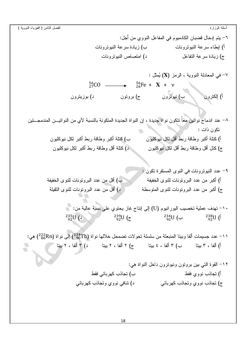| الفصل الثامن ( الفيزياء النووية )                                                                                |                                                                 |                                                    | أسئلة الوزارة         |  |
|------------------------------------------------------------------------------------------------------------------|-----------------------------------------------------------------|----------------------------------------------------|-----------------------|--|
| ٦– يتم إدخال قضبان الكادميوم في المفاعل النووي من أجل:                                                           |                                                                 |                                                    |                       |  |
| ب) زيادة سرعة النيوترونات                                                                                        |                                                                 | أ) إبطاء سرعة النبونزونات                          |                       |  |
|                                                                                                                  | د) امتصاص النبونرونات                                           |                                                    | ج) زيادة سرعة التفاعل |  |
|                                                                                                                  |                                                                 |                                                    |                       |  |
|                                                                                                                  |                                                                 | - في المعادلة النووية ، الرمز (X) يُمثل $\sim$     |                       |  |
| $\frac{56}{27}CO$                                                                                                | $\longrightarrow$ $\frac{56}{26}Fe + X + v$                     |                                                    |                       |  |
| د) بوزيترون                                                                                                      | ب) نیوترون کی ج) بروتون                                         |                                                    | أ) إلكترون            |  |
|                                                                                                                  |                                                                 |                                                    |                       |  |
| ٨– عند اندماج نواتين معاً نتكون نواة جديدة ، إن النواة الجديدة المتكونة بالنسبة لأي من النواتيـــن المندمجـــتين |                                                                 |                                                    |                       |  |
|                                                                                                                  |                                                                 |                                                    | تكون ذات :            |  |
| ب) كَتْلَة أَكبر وطاقة ربط أكبر لكل نيوكليون                                                                     |                                                                 | أ) كتلة أكبر وطاقة ربط أقل لكل نبوكليون            |                       |  |
| د) كَتْلَة أَقْل وطَاقَة ربط أكبر لكل نيوكليون                                                                   |                                                                 | ج) كنل أقل وطاقة ربط أقل لكل نيوكليون              |                       |  |
|                                                                                                                  |                                                                 |                                                    |                       |  |
|                                                                                                                  |                                                                 | ٩- عدد النيونرونات في النوى المستقرة نكون :        |                       |  |
| ب) أقل من عدد البرونونات للنوى الخفيفة                                                                           |                                                                 | أ) أكبر من عدد البرونونات للنوى الخفيفة            |                       |  |
| د) أقل من عدد البرونونات للنوى الثقيلة                                                                           |                                                                 | ج) أكبر من عدد البرونونات للنوى المنوسطة           |                       |  |
|                                                                                                                  |                                                                 |                                                    |                       |  |
| · ١- تهدف عملية تخصيب اليور انيوم (U) إلى إنتاج غاز يحتوي على نسبة عالية من:                                     |                                                                 |                                                    |                       |  |
| $^{235}_{92}U$ (                                                                                                 | $^{239}_{92}U$ ( $\overline{c}$ $^{234}_{92}U$ ( $\overline{c}$ |                                                    | $^{238}_{92}$ U (1    |  |
| 1 ا− عدد جسيمات ألفا وبيتا المنبعثة من سلسلة تحو لات تضمحل خلالها نواة (234Th) إلى نواة (222Rn) هي:              |                                                                 |                                                    |                       |  |
| أ) ألفا ، ٣ بيتا           ب) ٣ ألفا ، ٤ بيتا          ج) ٢ ألفا ، ٢ بيتا           د) ٣ ألفا ، ٢ بيتا           |                                                                 |                                                    |                       |  |
|                                                                                                                  |                                                                 | ١٢– القوة التي بين بروتون ونيوترون داخل النواة هي: |                       |  |
| ب) تجاذب كهربائي فقط                                                                                             |                                                                 |                                                    | أ) نـجاذب نووي فقط    |  |
| د) نٽافي نووي وتجاذب کهربائي                                                                                     |                                                                 | ج) تجاذب نووي وتجاذب كهربائي                       |                       |  |
|                                                                                                                  |                                                                 |                                                    |                       |  |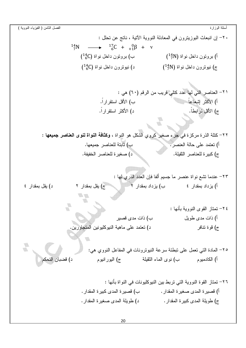الفصل الثامن ( الفيزياء النووية ) أسئلة الوزارة ٢٠– إن انبعاث البوزينرون في المعادلة النووية الآتية ، ناتج عن تحلل :  $^{14}_{7}N \longrightarrow ^{17}_{6}C + ^{0}_{4}β + v$ ب) بروتون داخل نواة (14g) أ) بروتون داخل نواة (14N)  $( \frac{14}{6}C )$  ج) نیوترون داخل نواة ( $( \frac{14}{7}N )$ ٢١- العناصر التي لها عدد كتلي قريب من الرقم (٦٠) هي : أ) الأكثر إشعاعاً ب) الأقل استقر ار اً. د) الأكثر استقراراً. ج) الأقل ترابطاً. ٢٢– كنلة الذرة مركزة في جزء صغير كروي الشكل هو النواة ، **وكثافة النواة لنوى العناصر جميعها** : ب) ثابتة للعناصر جميعها. أ) تعتمد على حالة العنصر . د) صغيرة للعناصر الخفيفة. ج) كبيرة للعناصر النقيلة. ٢٣– عندما نشع نواة عنصر ما جسيم ألفا فإن العدد الذري لها : د) يقل بمقدار ٤ ج) يقل بمقدار ٢ **VA YA** ٤ ٢- تمتاز القوى النووية بأنها : أ) ذات مدى طويل ب) ذات مدى قصير د) نعتمد على ماهية النيوكليونين المتجاورين. ج) قوة نتافر ٢٥– المادة التي تعمل على نبطئة سرعة النيونرونات في المفاعل النووي هي: د) قضبان التحكم أ) الكادميوم ب) نوى الماء النقيلة ج) اليور انيوم ٢٦– تمتاز القوة النووية التي تربط بين النيوكليونات في النواة بأنها : أ) فصبرة المدى صغيرة المقدار . ب) قصبر ة المدى كبير ة المقدار . د) طويلة المدى صغيرة المقدار . ج) طويلة المدى كبيرة المقدار .